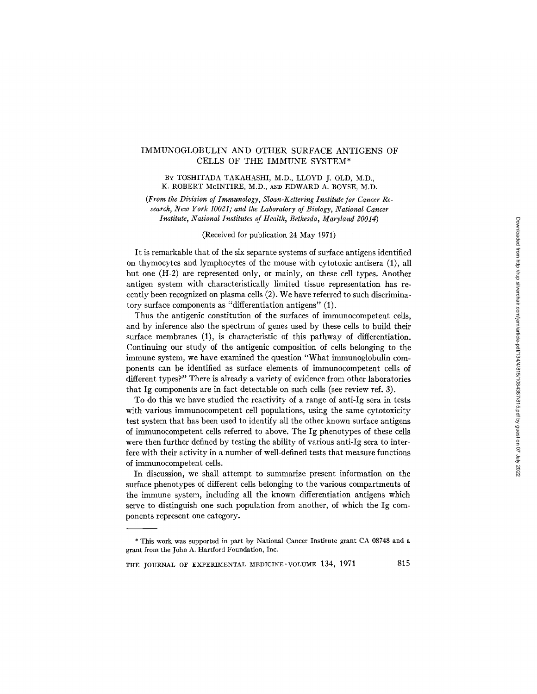# IMMUNOGLOBULIN AND OTHER SURFACE ANTIGENS OF CELLS OF THE IMMUNE SYSTEM\*

## BY TOSHITADA TAKAHASHI, M.D., LLOYD J. OLD, M.D., K. ROBERT McINTIRE, M.D., AND EDWARD A. BOYSE, M.D.

*(From the Division of Immunology, Sloan-Kettering Institute for Cancer Research, New York 10021; and the Laboratory of Biology, National Cancer Institute, National Institutes of Health, Bethesda, Maryland 20014)* 

## (Received for publication 24 May 1971)

It is remarkable that of the six separate systems of surface antigens identified on thymocytes and lymphocytes of the mouse with cytotoxic antisera (1), all but one (H-2) are represented only, or mainly, on these cell types. Another antigen system with characteristically limited tissue representation has recently been recognized on plasma cells (2). We have referred to such discriminatory surface components as "differentiation antigens" (1).

Thus the antigenic constitution of the surfaces of immunocompetent cells, and by inference also the spectrum of genes used by these cells to build their surface membranes (1), is characteristic of this pathway of differentiation. Continuing our study of the antigenic composition of cells belonging to the immune system, we have examined the question "What immunoglobulin components can be identified as surface elements of immunocompetent cells of different types?" There is already a variety of evidence from other laboratories that Ig components are in fact detectable on such cells (see review ref. 3).

To do this we have studied the reactivity of a range of anti-Ig sera in tests with various immunocompetent cell populations, using the same cytotoxicity test system that has been used to identify all the other known surface antigens of immunocompetent cells referred to above. The Ig phenotypes of these cells were then further defined by testing the ability of various anti-Ig sera to interfere with their activity in a number of well-defined tests that measure functions of immunocompetent cells.

In discussion, we shall attempt to summarize present information on the surface phenotypes of different cells belonging to the various compartments of the immune system, including all the known differentiation antigens which serve to distinguish one such population from another, of which the Ig components represent one category.

THE JOURNAL OF EXPERIMENTAL MEDICINE VOLUME  $134$ ,  $1971$  815

<sup>\*</sup> This work was supported in part by National Cancer Institute grant CA 08748 and a grant from the John A. Hartford Foundation, Inc.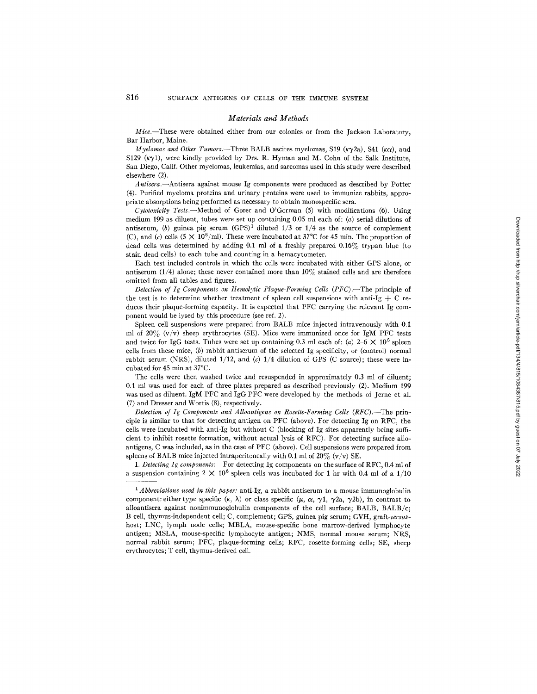#### *Materials and Methods*

*Mice.--These* were obtained either from our colonies or from the Jackson Laboratory, Bar Harbor, Maine.

*Myelomas and Other Tumors.*--Three BALB ascites myelomas, S19 ( $\kappa \gamma$ 2a), S41 ( $\kappa \alpha$ ), and S129 ( $\kappa \gamma$ 1), were kindly provided by Drs. R. Hyman and M. Cohn of the Salk Institute, San Diego, Calif. Other myelomas, leukemias, and sarcomas used in this study were described elsewhere (2).

*Antisera.--Antisera* against mouse Ig components were produced as described by Potter (4). Purified myeloma proteins and urinary proteins were used to immunize rabbits, appropriate absorptions being performed as necessary to obtain monospecific sera.

*Cytotoxicity Tests.--Method* of Gofer and O'Gorman (5) with modifications (6). Using medium 199 as diluent, tubes were set up containing 0.05 ml each of:  $(a)$  serial dilutions of antiserum, (b) guinea pig serum  $(GPS)^{1}$  diluted 1/3 or 1/4 as the source of complement (C), and (c) cells  $(5 \times 10^6/\text{ml})$ . These were incubated at 37°C for 45 min. The proportion of dead cells was determined by adding 0.1 ml of a freshly prepared 0.16% trypan blue (to stain dead cells) to each tube and counting in a hemacytometer.

Each test included controls in which the cells were incubated with either GPS alone, or antiserum (1/4) alone; these never contained more than  $10\%$  stained cells and are therefore omitted from all tables and figures.

*Detection of Ig Components on Hemolytic Plaque-Forming Cells (PFC).*-The principle of the test is to determine whether treatment of spleen cell suspensions with anti-Ig  $+$  C reduces their plaque-forming capacity. It is expected that PFC carrying the relevant Ig component would be lysed by this procedure (see ref. 2).

Spleen cell suspensions were prepared from BALB mice injected intravenously with 0.1 ml of  $20\%$  (v/v) sheep erythrocytes (SE). Mice were immunized once for IgM PFC tests and twice for IgG tests. Tubes were set up containing 0.3 ml each of: (a)  $2-6 \times 10^6$  spleen cells from these mice, (b) rabbit antiserum of the selected Ig specificity, or (control) normal rabbit serum (NRS), diluted  $1/12$ , and (c)  $1/4$  dilution of GPS (C source); these were incubated for  $45$  min at  $37^{\circ}$ C.

The cells were then washed twice and resuspended in approximately 0.3 ml of diluent; 0.1 ml was used for each of three plates prepared as described previously (2). Medium 199 was used as diluent. IgM PFC and IgG PFC were developed by the methods of Jerne et al. (7) and Dresser and Wortis (8), respectively.

*Detection of Ig Components and Alloantigens on Rosette-Forming Cells (RFC).*--The principle is similar to that for detecting antigen on PFC (above). For detecting Ig on RFC, the cells were incubated with anti-Ig but without C (blocking of Ig sites apparently being sufficient to inhibit rosette formation, without actual lysis of RFC). For detecting surface alloantigens, C was included, as in the case of PFC (above). Cell suspensions were prepared from spleens of BALB mice injected intraperitoneally with 0.1 ml of  $20\%$  (v/v) SE.

*I. Detecting Ig components:* For detecting Ig components on the surface of RFC, 0.4 mI of a suspension containing  $2 \times 10^6$  spleen cells was incubated for 1 hr with 0.4 ml of a 1/10

*<sup>1</sup> Abbreviations used in this paper:* anti-Ig, a rabbit antiserum to a mouse immunoglobulin component: either type specific ( $\kappa$ ,  $\lambda$ ) or class specific ( $\mu$ ,  $\alpha$ ,  $\gamma$ 1,  $\gamma$ 2a,  $\gamma$ 2b), in contrast to alloantisera against nonimmunoglobulin components of the cell surface; BALB, BALB/c; B cell, thymus-independent cell; C, complement; GPS, guinea pig serum; GVH, *graft-versus*host; LNC, lymph node cells; MBLA, mouse-specific bone marrow-derived lymphocyte antigen; MSLA, mouse-specific lymphocyte antigen; NMS, normal mouse serum; NRS, normal rabbit serum; PFC, plaque-forming cells; RFC, rosette-forming cells; SE, sheep erythrocytes; T cell, thymus-derived cell.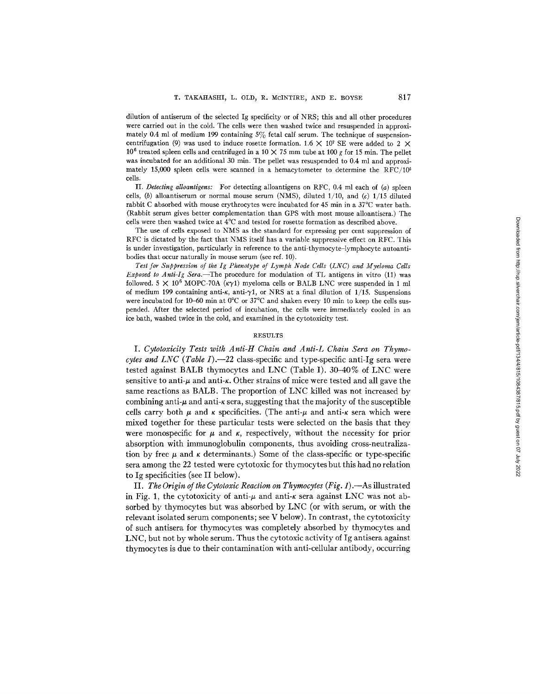dilution of antiserum of the selected Ig specificity or of NRS; this and all other procedures were carried out in the cold. The cells were then washed twice and resuspended in approximately 0.4 ml of medium 199 containing  $5\%$  fetal calf serum. The technique of suspensioncentrifugation (9) was used to induce rosette formation. 1.6  $\times$  10<sup>7</sup> SE were added to 2  $\times$ 10<sup>6</sup> treated spleen cells and centrifuged in a 10  $\times$  75 mm tube at 100 g for 15 min. The pellet was incubated for an additional 30 min. The pellet was resuspended to 0.4 ml and approximately 15,000 spleen cells were scanned in a hemacytometer to determine the RFC/105 cells.

II. *Detecting alloantlgens:* For detecting alloantigens on RFC, 0.4 ml each of (a) spleen cells, (b) alloantiserum or normal mouse serum (NMS), diluted  $1/10$ , and (c)  $1/15$  diluted rabbit C absorbed with mouse erythrocytes were incubated for 45 min in a 37°C water **bath.**  (Rabbit serum gives better complementation than GPS with most mouse alloantisera.) The cells were then washed twice at 4°C and tested for rosette formation as described above.

The use of cells exposed to NMS as the standard for expressing per cent suppression of RFC is dictated by the fact that NMS itself has a variable suppressive effect on RFC. This is under investigation, particularly in reference to the anti-thymocyte-lymphocyte autoantibodies that occur naturally in mouse serum (see ref. 10).

*Test for Suppression of the Ig Phenotype of Lymph Node Cells (LNC) and Myeloma Cells Exposed to Anti-Ig Sera.--The* procedure for modulation of TL antigens in vitro (11) was followed. 5  $\times$  10<sup>6</sup> MOPC-70A ( $\kappa \gamma$ 1) myeloma cells or BALB LNC were suspended in 1 ml of medium 199 containing anti- $\kappa$ , anti- $\gamma$ 1, or NRS at a final dilution of 1/15. Suspensions were incubated for 10-60 min at  $0^{\circ}$ C or  $37^{\circ}$ C and shaken every 10 min to keep the cells suspended. After the selected period of incubation, the cells were immediately cooled in an ice bath, washed twice in the cold, and examined in **the cytotoxicity** test.

### **RESULTS**

*I. Cytotoxicity Tests with Anti-H Chain and Anti-L Chain Sera on Thymocytes and LNC (Table* **1).--22 class-specific and type-specific anti-Ig sera were tested against BALB thymocytes and LNC (Table I). 30-40% of LNC were**  sensitive to anti- $\mu$  and anti- $\kappa$ . Other strains of mice were tested and all gave the **same reactions as BALB. The proportion of LNC killed was not increased by**  combining anti- $\mu$  and anti- $\kappa$  sera, suggesting that the majority of the susceptible cells carry both  $\mu$  and  $\kappa$  specificities. (The anti- $\mu$  and anti- $\kappa$  sera which were **mixed together for these particular tests were selected on the basis that they**  were monospecific for  $\mu$  and  $\kappa$ , respectively, without the necessity for prior **absorption with immunoglobulin components, thus avoiding cross-neutraliza**tion by free  $\mu$  and  $\kappa$  determinants.) Some of the class-specific or type-specific **sera among the 22 tested were cytotoxic for thymocytes but this had no relation to Ig specificities (see II below).** 

**II.** The Origin of the Cytotoxic Reaction on Thymocytes (Fig. 1).—As illustrated in Fig. 1, the cytotoxicity of anti- $\mu$  and anti- $\kappa$  sera against LNC was not ab**sorbed by thymocytes but was absorbed by LNC (or with serum, or with the relevant isolated serum components; see V below). In contrast, the cytotoxicity of such antisera for thymocytes was completely absorbed by thymocytes and LNC, but not by whole serum. Thus the cytotoxic activity of Ig antisera against thymocytes is due to their contamination with anti-cellular antibody, occurring**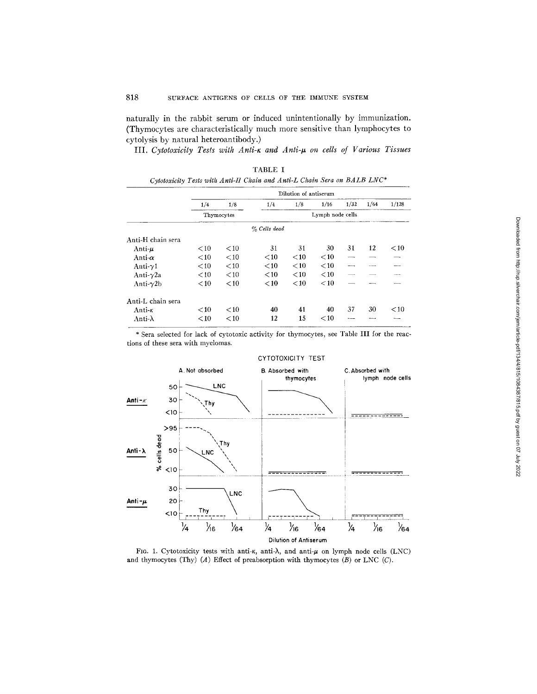naturally in the rabbit serum or induced unintentionally by immunization. (Thymocytes are characteristically much more sensitive than lymphocytes to cytolysis by natural heteroantibody.)

III. Cytotoxicity Tests with Anti-K and Anti- $\mu$  on cells of Various Tissues

'FABLE I

|                   |         | Dilution of antiserum |              |                  |        |      |                 |        |  |  |  |  |
|-------------------|---------|-----------------------|--------------|------------------|--------|------|-----------------|--------|--|--|--|--|
|                   | 1/4     | 1/8                   | 1/4          | 1/8              | 1/16   | 1/32 | 1/64            | 1/128  |  |  |  |  |
|                   |         | Thymocytes            |              | Lymph node cells |        |      |                 |        |  |  |  |  |
|                   |         |                       | % Cells dead |                  |        |      |                 |        |  |  |  |  |
| Anti-H chain sera |         |                       |              |                  |        |      |                 |        |  |  |  |  |
| Anti-u            | $<$ 10  | ${<}10$               | 31           | 31               | 30     | 31   | 12              | $<$ 10 |  |  |  |  |
| Anti- $\alpha$    | ${<}10$ | < 10                  | $<$ 10       | ${<}10$          | $<$ 10 |      |                 |        |  |  |  |  |
| Anti- $\gamma$ 1  | $<$ 10  | $<$ 10                | $<$ 10       | $<$ 10           | $<$ 10 |      | <b>Salesman</b> |        |  |  |  |  |
| Anti- $\gamma$ 2a | ${<}10$ | $<$ 10                | $<$ 10       | $<$ 10           | < 10   |      |                 |        |  |  |  |  |
| Anti- $\gamma$ 2b | $<$ 10  | $<$ 10                | $<$ 10       | < 10             | < 10   |      |                 |        |  |  |  |  |
| Anti-L chain sera |         |                       |              |                  |        |      |                 |        |  |  |  |  |
| Anti- $\kappa$    | $<$ 10  | $<$ 10                | 40           | 41               | 40     | 37   | 30              | $<$ 10 |  |  |  |  |
| Anti- $\lambda$   | $<$ 10  | $<$ 10                | 12           | 15               | $<$ 10 |      |                 |        |  |  |  |  |

\* Sera selected for lack of cytotoxic activity for thymocytes, see Table III for the reactions of these sera with myelomas.



FIG. 1. Cytotoxicity tests with anti- $\kappa$ , anti- $\lambda$ , and anti- $\mu$  on lymph node cells (LNC) and thymocytes (Thy)  $(A)$  Effect of preabsorption with thymocytes  $(B)$  or LNC  $(C)$ .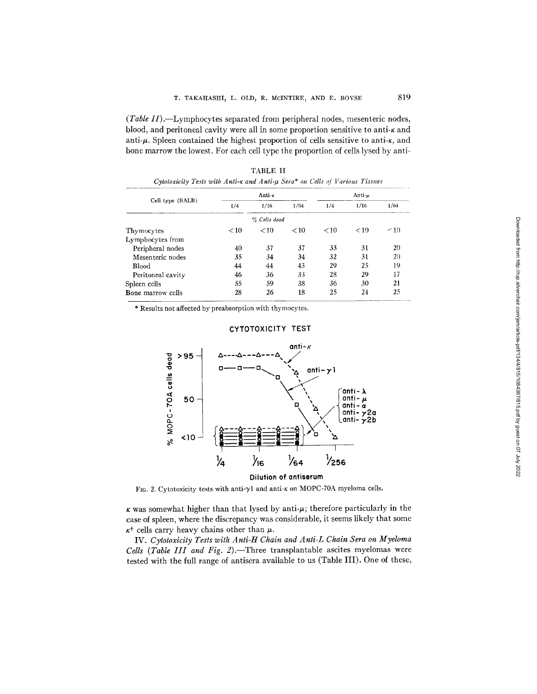*(Table II)*.-Lymphocytes separated from peripheral nodes, mesenteric nodes, blood, and peritoneal cavity were all in some proportion sensitive to anti-k and anti- $\mu$ . Spleen contained the highest proportion of cells sensitive to anti- $\kappa$ , and bone marrow the lowest. For each cell type the proportion of cells lysed by anti-

|                   |        | Anti-k       | Anti- $\mu$ |        |      |      |  |
|-------------------|--------|--------------|-------------|--------|------|------|--|
| Cell type (BALB)  | 1/4    | 1/16         | 1/64        | 1/4    | 1/16 | 1/64 |  |
|                   |        | % Cells dead |             |        |      |      |  |
| Thymocytes        | $<$ 10 | < 10         | < 10        | $<$ 10 | < 10 | ~10  |  |
| Lymphocytes from  |        |              |             |        |      |      |  |
| Peripheral nodes  | 40     | 37           | 37          | 33     | 31   | 20   |  |
| Mesenteric nodes  | 35     | 34           | 34          | 32     | 31   | 20   |  |
| <b>Blood</b>      | 44     | 44           | 43          | 29     | 25   | 19   |  |
| Peritoneal cavity | 46     | 36           | 33          | 28     | 29   | 17   |  |
| Spleen cells      | 55     | 59           | 38          | 36     | 30   | 21   |  |
| Bone marrow cells | 28     | 26           | 18          | 25     | 24   | 25   |  |

TABLE II *Cytotoxicity Tests with Anti-K and Anti-t~ Sera\* on Cells of Various Tissue~* 

\* Results not affected by preabsorption with thymocytes.



# CYTOTOXICITY TEST

FIG. 2. Cytotoxicity tests with anti- $\gamma$ 1 and anti-K on MOPC-70A myeloma cells.

 $\kappa$  was somewhat higher than that lysed by anti- $\mu$ ; therefore particularly in the case of spleen, where the discrepancy was considerable, it seems likely that some  $\kappa^+$  cells carry heavy chains other than  $\mu$ .

IV. *Cytotoxicity Tests with Anti-H Chain and Anti-L Chain Sera on Myeloma Cells (Table III and Fig. 2)*. Three transplantable ascites myelomas were tested with the full range of antisera available to us (Table III). One of these,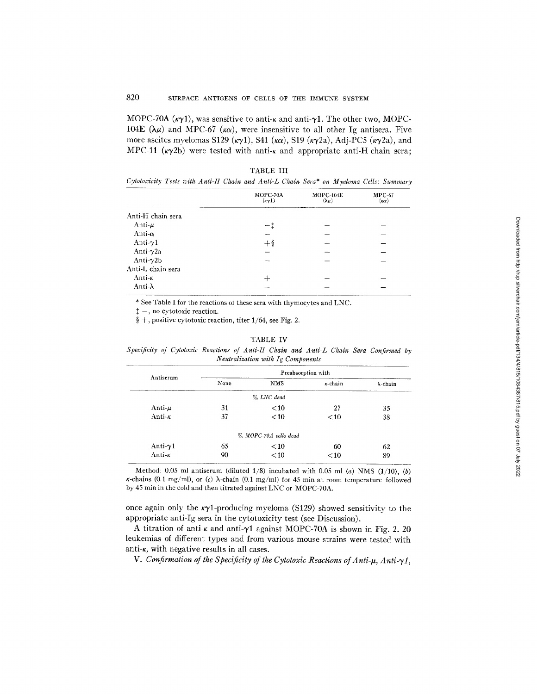MOPC-70A ( $\kappa \gamma$ 1), was sensitive to anti- $\kappa$  and anti- $\gamma$ 1. The other two, MOPC-104E ( $\lambda \mu$ ) and MPC-67 ( $\kappa \alpha$ ), were insensitive to all other Ig antisera. Five more ascites myelomas S129 ( $\kappa \gamma$ 1), S41 ( $\kappa \alpha$ ), S19 ( $\kappa \gamma$ 2a), Adj-PC5 ( $\kappa \gamma$ 2a), and MPC-11 ( $\kappa \gamma$ 2b) were tested with anti- $\kappa$  and appropriate anti-H chain sera;

|                    | MOPC-70A<br>$(\kappa \gamma 1)$ | $MOPC-104E$<br>$(\lambda \mu)$ | $MPC-67$<br>$(\kappa\alpha)$ |
|--------------------|---------------------------------|--------------------------------|------------------------------|
| Anti-H chain sera  |                                 |                                |                              |
| Anti- $\mu$        |                                 |                                |                              |
| Anti- $\alpha$     |                                 |                                |                              |
| Anti- $\gamma$ 1   | $+$ §                           |                                |                              |
| Anti- $\gamma$ 2a  |                                 |                                |                              |
| Anti- $\gamma$ 2b  |                                 |                                |                              |
| Anti-L chain sera  |                                 |                                |                              |
| Anti- <sub>K</sub> |                                 |                                |                              |
| Anti-λ             |                                 |                                |                              |

TABLE III

*Cytotoxicity Tests with Anti-H Chain and Anti-L Chain Sera\* on Myeloma Cells: Summary* 

\* See Table I for the reactions of these sera with thymocytes and LNC.

 $\dagger$  -, no cytotoxic reaction.

§  $+$ , positive cytotoxic reaction, titer 1/64, see Fig. 2.

### TABLE IV

| Specificity of Cytotoxic Reactions of Anti-H Chain and Anti-L Chain Sera Confirmed by |  |  |                                   |  |  |  |  |
|---------------------------------------------------------------------------------------|--|--|-----------------------------------|--|--|--|--|
|                                                                                       |  |  | Neutralization with Ig Components |  |  |  |  |

| Antiserum          | Preabsorption with |                       |                 |                  |  |  |  |  |  |
|--------------------|--------------------|-----------------------|-----------------|------------------|--|--|--|--|--|
|                    | None               | <b>NMS</b>            | $\kappa$ -chain | $\lambda$ -chain |  |  |  |  |  |
|                    |                    | $\%$ LNC dead         |                 |                  |  |  |  |  |  |
| Anti- $\mu$        | 31                 | $<$ 10                | 27              | 35               |  |  |  |  |  |
| Anti-k             | 37                 | < 10                  | $<$ 10          | 38               |  |  |  |  |  |
|                    |                    | % MOPC-70A cells dead |                 |                  |  |  |  |  |  |
| Anti- $\gamma$ 1   | 65                 | $<$ 10                | 60              | 62               |  |  |  |  |  |
| Anti- <sub>K</sub> | 90                 | < 10                  | $<$ 10          | 89               |  |  |  |  |  |

Method: 0.05 ml antiserum (diluted 1/8) incubated with 0.05 ml *(a)* NMS (1/10), (b)  $\kappa$ -chains (0.1 mg/ml), or (c)  $\lambda$ -chain (0.1 mg/ml) for 45 min at room temperature followed by 45 min in the cold and then titrated against LNC or MOPC-70A.

once again only the  $\kappa\gamma$ 1-producing myeloma (S129) showed sensitivity to the appropriate anti-Ig sera in the cytotoxicity test (see Discussion).

A titration of anti- $\kappa$  and anti- $\gamma$ 1 against MOPC-70A is shown in Fig. 2.20 leukemias of different types and from various mouse strains were tested with anti- $\kappa$ , with negative results in all cases.

*V. Confirmation of the Specificity of the Cytotoxic Reactions of Anti-μ, Anti-γ1,*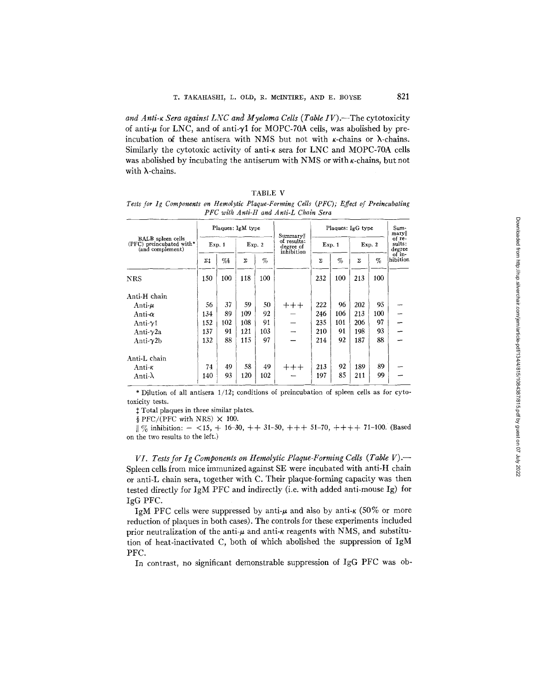and Anti-<sub>K</sub> Sera against LNC and Myeloma Cells (Table IV).—The cytotoxicity of anti- $\mu$  for LNC, and of anti- $\gamma$ 1 for MOPC-70A cells, was abolished by preincubation of these antisera with NMS but not with  $\kappa$ -chains or  $\lambda$ -chains. Similarly the cytotoxic activity of anti- $\kappa$  sera for LNC and MOPC-70A cells was abolished by incubating the antiserum with NMS or with  $\kappa$ -chains, but not with  $\lambda$ -chains.

| TABLE |  |  |
|-------|--|--|
|       |  |  |

*Tests for Ig Components on Hemolytic Plaque-Forming Cells (PFC); Effect of Preincubating PFC with Anti-H and Anti-L Chain Sera* 

|                                                                          |                     |      | Plaques: IgM type |        |                                                   | Plaques: IgG type | Sum-<br>mary  <br>of re-<br>sults:<br>degree |        |      |                    |
|--------------------------------------------------------------------------|---------------------|------|-------------------|--------|---------------------------------------------------|-------------------|----------------------------------------------|--------|------|--------------------|
| <b>BALB</b> spleen cells<br>(PFC) preincubated with*<br>(and complement) | Exp. 1              |      |                   | Exp. 2 | Summary<br>of results:<br>degree of<br>inhibition | Exp. 1            |                                              | Exp. 2 |      |                    |
|                                                                          | $\Sigma^{\ddagger}$ | $\%$ | Σ                 | $\%$   |                                                   | Σ                 | $\%$                                         | Σ      | $\%$ | of in-<br>hibition |
| NRS                                                                      | 150                 | 100  | 118               | 100    |                                                   | 232               | 100                                          | 213    | 100  |                    |
| Anti-H chain                                                             |                     |      |                   |        |                                                   |                   |                                              |        |      |                    |
| Anti- $\mu$                                                              | 56                  | 37   | 59                | 50     | $+++$                                             | 222               | 96                                           | 202    | 95   |                    |
| Anti-α                                                                   | 134                 | 89   | 109               | 92     |                                                   | 246               | 106                                          | 213    | 100  |                    |
| Anti- $\gamma$ 1                                                         | 152                 | 102  | 108               | 91     |                                                   | 235               | 101                                          | 206    | 97   |                    |
| Anti- $\gamma$ 2a                                                        | 137                 | 91   | 121               | 103    |                                                   | 210               | 91                                           | 198    | 93   |                    |
| Anti- $\gamma$ 2b                                                        | 132                 | 88   | 115               | 97     |                                                   | 214               | 92                                           | 187    | 88   |                    |
| Anti-L chain                                                             |                     |      |                   |        |                                                   |                   |                                              |        |      |                    |
| Anti- <sub>K</sub>                                                       | 74                  | 49   | 58                | 49     | $++++$                                            | 213               | 92                                           | 189    | 89   |                    |
| Anti- $\lambda$                                                          | 140                 | 93   | 120               | 102    |                                                   | 197               | 85                                           | 211    | 99   |                    |

\* Dilution of all antisera 1/12; conditions of preincubation of spleen cells as for cytotoxicity tests.

 $\ddagger$  Total plaques in three similar plates.

§ PFC/(PFC with NRS)  $\times$  100.

 $\parallel \frac{\alpha}{6}$  inhibition:  $-$  <15, + 16-30, ++ 31-50, +++ 51-70, ++++ 71-100. (Based on the two results to the left.)

*VI. Tests for Ig Components on Hemolytic Plaque-Forming Cells (Table V).--*  Spleen cells from mice immunized against SE were incubated with anti-H chain or anti-L chain sera, together with C. Their plaque-forming capacity was then tested directly for IgM PFC and indirectly (i.e. with added anti-mouse Ig) for IgG PFC.

IgM PFC cells were suppressed by anti- $\mu$  and also by anti- $\kappa$  (50% or more reduction of plaques in both cases). The controls for these experiments included prior neutralization of the anti- $\mu$  and anti- $\kappa$  reagents with NMS, and substitution of heat-inactivated C, both of which abolished the suppression of IgM PFC.

In contrast, no significant demonstrable suppression of IgG PFC was ob-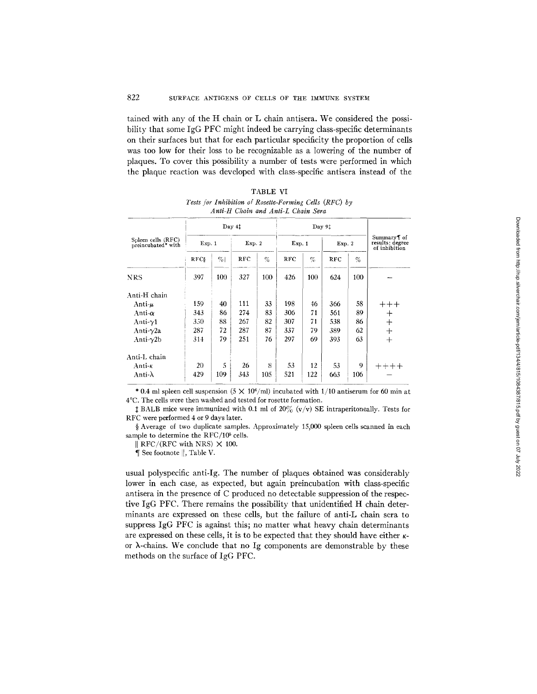tained with any of the H chain or L chain antisera. We considered the possibility that some IgG PFC might indeed be carrying class-specific determinants on their surfaces but that for each particular specificity the proportion of cells was too low for their loss to be recognizable as a lowering of the number of plaques. To cover this possibility a number of tests were performed in which the plaque reaction was developed with class-specific antisera instead of the

|                                          |             | Day 41 |            |      |            | Day 91 |            |     |                                                  |  |
|------------------------------------------|-------------|--------|------------|------|------------|--------|------------|-----|--------------------------------------------------|--|
| Spleen cells (RFC)<br>preincubated* with | Exp. 1      |        | Exp. 2     |      | Exp. 1     |        | Exp. 2     |     | Summary i of<br>results: degree<br>of inhibition |  |
|                                          | <b>RFCS</b> | $\%$   | <b>RFC</b> | $\%$ | <b>RFC</b> | $\%$   | <b>RFC</b> | %   |                                                  |  |
| NRS                                      | 397         | 100    | 327        | 100  | 426        | 100    | 624        | 100 |                                                  |  |
| Anti-H chain                             |             |        |            |      |            |        |            |     |                                                  |  |
| Anti-u                                   | 159         | 40     | 111        | 33   | 198        | 46     | 366        | 58  | $+++$                                            |  |
| Anti- $\alpha$                           | 343         | 86     | 274        | 83   | 306        | 71     | 561        | 89  | $^{+}$                                           |  |
| Anti- $\gamma$ 1                         | 350         | 88     | 267        | 82   | 307        | 71     | 538        | 86  | $^{+}$                                           |  |
| Anti- $\gamma$ 2a                        | 287         | 72     | 287        | 87   | 337        | 79     | 389        | 62  | $+$                                              |  |
| Anti- $\gamma$ 2b                        | 314         | 79     | 251        | 76   | 297        | 69     | 393        | 63  | $+$                                              |  |
| Anti-L chain                             |             |        |            |      |            |        |            |     |                                                  |  |
| Anti-ĸ                                   | 20          | 5      | 26         | 8    | 53         | 12     | 53         | 9   | $+++++$                                          |  |
| Anti-λ                                   | 429         | 109    | 343        | 105  | 521        | 122    | 663        | 106 |                                                  |  |

TABLE VI *Tests Jbr Inhibition of Rosette-Forming Cells (RFC) by Anti-H Chain and Anti-L Chain Sera* 

\* 0.4 ml spleen cell suspension  $(5 \times 10^6/\text{ml})$  incubated with 1/10 antiserum for 60 min at 4°C. The cells were then washed and tested for rosette formation.

 $\sharp$  BALB mice were immunized with 0.1 ml of 20% (v/v) SE intraperitoneally. Tests for RFC were performed 4 or 9 days later.

§ Average of two duplicate samples. Approximately 15,000 spleen cells scanned in each sample to determine the RFC/10<sup>5</sup> cells.

 $\parallel$  RFC/(RFC with NRS)  $\times$  100.

¶ See footnote II, Table V.

usual polyspecific anti-Ig. The number of plaques obtained was considerably lower in each case, as expected, but again preincubation with class-specific antisera in the presence of C produced no detectable suppression of the respective IgG PFC. There remains the possibility that unidentified H chain determinants are expressed on these cells, but the failure of anti-L chain sera to suppress IgG PFC is against this; no matter what heavy chain determinants are expressed on these cells, it is to be expected that they should have either  $\kappa$ or  $\lambda$ -chains. We conclude that no Ig components are demonstrable by these methods on the surface of IgG PFC.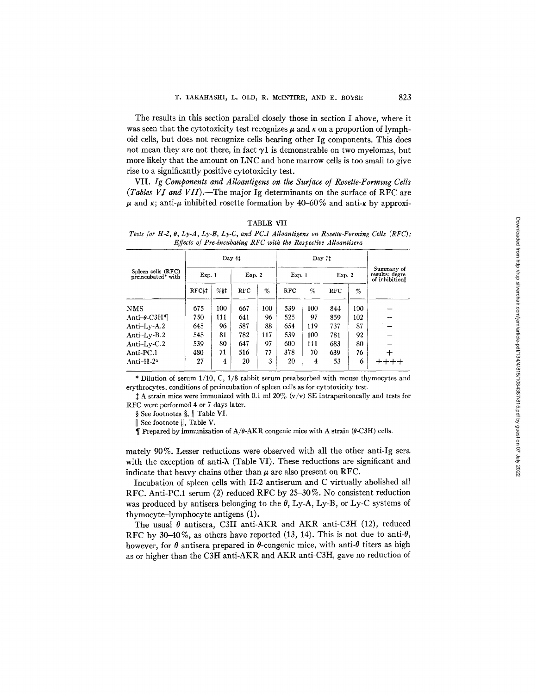The results in this section parallel closely those in section I above, where it was seen that the cytotoxicity test recognizes  $\mu$  and  $\kappa$  on a proportion of lymphoid cells, but does not recognize cells bearing other Ig components. This does not mean they are not there, in fact  $\gamma$ 1 is demonstrable on two myelomas, but more likely that the amount on LNC and bone marrow cells is too small to give rise to a significantly positive cytotoxicity test.

VII. Ig Components and Alloantigens on the Surface of Rosette-Forming Cells *(Tables V! and VII).--The* major Ig determinants on the surface of RFC are  $\mu$  and  $\kappa$ ; anti- $\mu$  inhibited rosette formation by 40-60% and anti- $\kappa$  by approxi-

TABLE VII

*Tests for H-2, O, Ly-A, Ly-B, Ly-C, and PC.1 Alloantigens on Rosette-Forming Cells (RFC); Effects of Pre-incubating RFC with the Respective Alloantisera* 

|                                          |                     |        | Day 41     |        |            | Day 71 |            |        |                                                |
|------------------------------------------|---------------------|--------|------------|--------|------------|--------|------------|--------|------------------------------------------------|
| Spleen cells (RFC)<br>preincubated* with | Exp. 1              |        |            | Exp. 2 |            | Exp. 1 |            | Exp. 2 | Summary of<br>results: degre<br>of inhibition! |
|                                          | RFC <sub>\$</sub> t | $%$ st | <b>RFC</b> | $\%$   | <b>RFC</b> | $\%$   | <b>RFC</b> | %      |                                                |
| <b>NMS</b>                               | 675                 | 100    | 667        | 100    | 539        | 100    | 844        | 100    |                                                |
| Anti- $\theta$ -C3H¶                     | 750                 | 111    | 641        | 96     | 525        | 97     | 859        | 102    |                                                |
| Anti-Ly-A.2                              | 645                 | 96     | 587        | 88     | 654        | 119    | 737        | 87     |                                                |
| Anti-Ly-B.2                              | 545                 | 81     | 782        | 117    | 539        | 100    | 781        | 92     |                                                |
| Anti-Ly- $C.2$                           | 539                 | 80     | 647        | 97     | 600        | 111    | 683        | 80     |                                                |
| Anti-PC.1                                | 480                 | 71     | 516        | 77     | 378        | 70     | 639        | 76     |                                                |
| Anti-H- $2^a$                            | 27                  | 4      | 20         | 3      | 20         | 4      | 53         | 6      | $+++++$                                        |

\* Dilution of serum 1/10, C, 1/8 rabbit serum preabsorbed with mouse thymocytes and erythrocytes, conditions of preincubation of spleen cells as for cytotoxicity test.

 $\ddagger$  A strain mice were immunized with 0.1 ml 20% (v/v) SE intraperitoneally and tests for RFC were performed 4 or 7 days later.

§ See footnotes §, || Table VI.

|| See footnote ||, Table V.

 $\P$  Prepared by immunization of A/ $\theta$ -AKR congenic mice with A strain ( $\theta$ -C3H) cells.

mately 90%. Lesser reductions were observed with all the other anti-Ig sera with the exception of anti- $\lambda$  (Table VI). These reductions are significant and indicate that heavy chains other than  $\mu$  are also present on RFC.

Incubation of spleen cells with H-2 antiserum and C virtually abolished all RFC. Anti-PC.1 serum (2) reduced RFC by 25-30%. No consistent reduction was produced by antisera belonging to the  $\theta$ , Ly-A, Ly-B, or Ly-C systems of thymocyte-lymphocyte antigens (1).

The usual  $\theta$  antisera, C3H anti-AKR and AKR anti-C3H (12), reduced RFC by 30-40%, as others have reported  $(13, 14)$ . This is not due to anti- $\theta$ , however, for  $\theta$  antisera prepared in  $\theta$ -congenic mice, with anti- $\theta$  titers as high as or higher than the C3H anti-AKR and AKR anti-C3H, gave no reduction of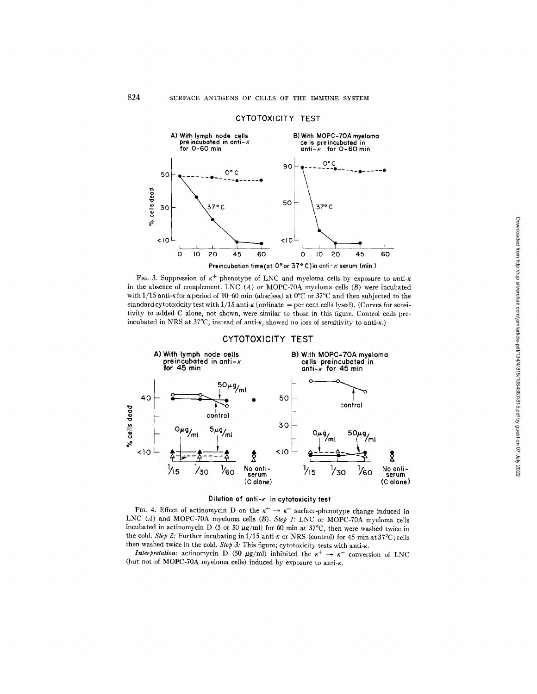

#### CYTOTOXICITY TEST



# CYTOTOXICITY TEST



## **Dilution of onti-x in cytotoxicity test**

FIG. 4. Effect of actinomycin D on the  $\kappa^+ \to \kappa^-$  surface-phenotype change induced in LNC (A) and MOPC-70A myelmna cells (B). *Step 1:* LNC or MOPC-70A myeloma cells incubated in actinomycin D (5 or 50  $\mu$ g/ml) for 60 min at 37°C, then were washed twice in the cold. *Step 2*: Further incubating in 1/15 anti- $\kappa$  or NRS (control) for 45 min at 37°C; cells then washed twice in the cold. *Step 3:* This figure; cytotoxicity tests with anti- $\kappa$ .

*Interpretation:* actinomycin D (50  $\mu$ g/ml) inhibited the  $\kappa^+ \rightarrow \kappa^-$  conversion of LNC (but not of MOPC-70A myeloma cells) induced by exposure to anti- $\kappa$ .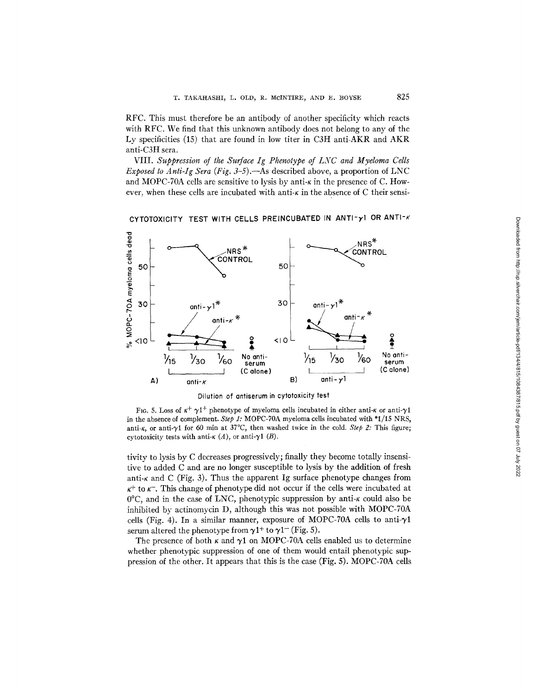RFC. This must therefore be an antibody of another specificity which reacts with RFC. We find that this unknown antibody does not belong to any of the Ly specificities (15) that are found in low titer in C3H anti-AKR and AKR anti-C3H sera.

VIII. *Suppression of the Surface Ig Phenotype of LNC and Myeloma Cells Exposed to Anti-Ig Sera (Fig. 3-5).*—As described above, a proportion of LNC and MOPC-70A cells are sensitive to lysis by anti- $\kappa$  in the presence of C. However, when these cells are incubated with anti- $\kappa$  in the absence of C their sensi-

CYTOTOXICITY TEST WITH CELLS PREINCUBATED IN ANTI-y1 OR ANTI-K



**Dilution of antiserum in cytotoxicity test** 

FIG. 5. Loss of  $\kappa^+ \gamma 1^+$  phenotype of myeloma cells incubated in either anti- $\kappa$  or anti- $\gamma 1$ in the absence of complement. *Step 1:* MOPC-70A myeloma cells incubated with "1/15 NRS, anti- $\kappa$ , or anti- $\gamma$ 1 for 60 min at 37°C, then washed twice in the cold. *Step 2:* This figure; cytotoxicity tests with anti- $\kappa(A)$ , or anti- $\gamma1(B)$ .

tivity to lysis by C decreases progressively; finally they become totally insensitive to added C and are no longer susceptible to lysis by the addition of fresh anti- $\kappa$  and C (Fig. 3). Thus the apparent Ig surface phenotype changes from  $\kappa^+$  to  $\kappa^-$ . This change of phenotype did not occur if the cells were incubated at  $0^{\circ}$ C, and in the case of LNC, phenotypic suppression by anti- $\kappa$  could also be inhibited by actinomycin D, although this was not possible with MOPC-70A cells (Fig. 4). In a similar manner, exposure of MOPC-70A cells to anti- $\gamma$ 1 serum altered the phenotype from  $\gamma$ 1<sup>+</sup> to  $\gamma$ 1<sup>-</sup> (Fig. 5).

The presence of both  $\kappa$  and  $\gamma$ 1 on MOPC-70A cells enabled us to determine whether phenotypic suppression of one of them would entail phenotypic suppression of the other. It appears that this is the case (Fig. 5). MOPC-70A cells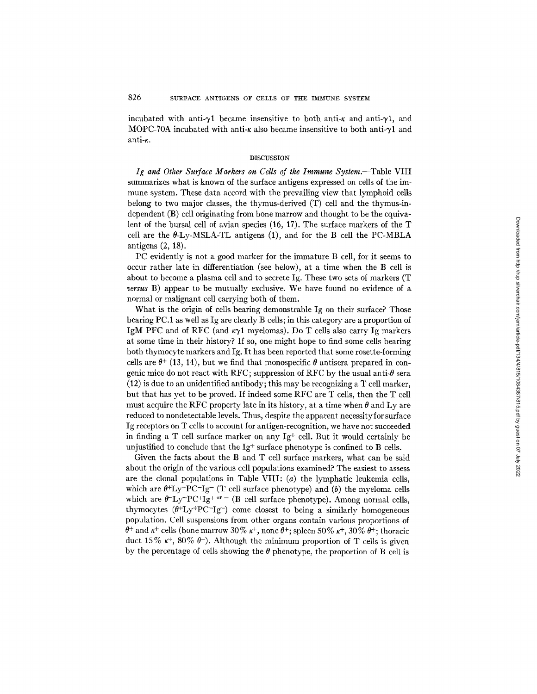incubated with anti- $\gamma$ 1 became insensitive to both anti- $\kappa$  and anti- $\gamma$ 1, and MOPC-70A incubated with anti- $\kappa$  also became insensitive to both anti- $\gamma$ 1 and anti-K.

### **DISCUSSION**

*Ig and Other Surface Markers on Cells of the Immune Syslem.--Table* VIII summarizes what is known of the surface antigens expressed on cells of the immune system. These data accord with the prevailing view that lymphoid cells belong to two major classes, the thymus-derived (T) cell and the thymus-independent (B) cell originating from bone marrow and thought to be the equivalent of the bursal cell of avian species (16, 17). The surface markers of the T cell are the  $\theta$ -Ly-MSLA-TL antigens (1), and for the B cell the PC-MBLA antigens (2, 18).

PC evidently is not a good marker for the immature B cell, for it seems to occur rather late in differentiation (see below), at a time when the B cell is about to become a plasma cell and to secrete Ig. These two sets of markers (T *versus* B) appear to be mutually exclusive. We have found no evidence of a normal or malignant cell carrying both of them.

What is the origin of cells bearing demonstrable Ig on their surface? Those bearing PC.1 as well as Ig are clearly B cells; in this category are a proportion of IgM PFC and of RFC (and  $\kappa \gamma$ 1 myelomas). Do T cells also carry Ig markers at some time in their history? If so, one might hope to find some cells bearing both thymocyte markers and Ig. It has been reported that some rosette-forming cells are  $\theta$ <sup>+</sup> (13, 14), but we find that monospecific  $\theta$  antisera prepared in congenic mice do not react with RFC; suppression of RFC by the usual anti- $\theta$  sera  $(12)$  is due to an unidentified antibody; this may be recognizing a T cell marker, but that has yet to be proved. If indeed some RFC are T cells, then the T cell must acquire the RFC property late in its history, at a time when  $\theta$  and Ly are reduced to nondetectable levels. Thus, despite the apparent necessity for surface Ig receptors on T cells to account for antigen-recognition, we have not succeeded in finding a T cell surface marker on any  $Ig^+$  cell. But it would certainly be unjustified to conclude that the  $Ig^+$  surface phenotype is confined to B cells.

Given the facts about the B and T cell surface markers, what can be said about the origin of the various cell populations examined? The easiest to assess are the clonal populations in Table VIII:  $(a)$  the lymphatic leukemia cells, which are  $\theta^+Ly^+PC^-Ig^-$  (T cell surface phenotype) and (b) the myeloma cells which are  $\theta^- L_y^- PC^+ Ig^+$  or - (B cell surface phenotype). Among normal cells, thymocytes  $(\theta^+Ly^+PC^-Ig^-)$  come closest to being a similarly homogeneous population. Cell suspensions from other organs contain various proportions of  $\theta^+$  and  $\kappa^+$  cells (bone marrow 30%  $\kappa^+$ , none  $\theta^+$ ; spleen 50%  $\kappa^+$ , 30%  $\theta^+$ ; thoracic duct 15%  $\kappa^+$ , 80%  $\theta^+$ ). Although the minimum proportion of T cells is given by the percentage of cells showing the  $\theta$  phenotype, the proportion of B cell is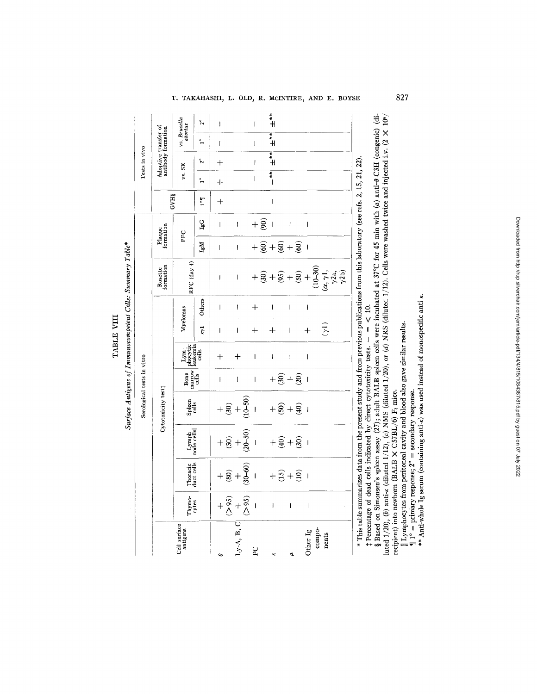**a**  TABLE VIII  $\dot{p}$ e

%  $\tilde{c}$ 

|                            |                                            | vs. Brucella<br>abortus                                                                          | $2^{\circ}$          | I                                                                                                                                                                                                                                                                                                                                                                                                              |                                                                                             | $\mathsf{I}$   | $H^*$                                  |                               |    |                                       |                              |  |                            |                                                                        |                |  |  |  |                                                                                               |  |  |  |  |  |                            |  |  |  |  |
|----------------------------|--------------------------------------------|--------------------------------------------------------------------------------------------------|----------------------|----------------------------------------------------------------------------------------------------------------------------------------------------------------------------------------------------------------------------------------------------------------------------------------------------------------------------------------------------------------------------------------------------------------|---------------------------------------------------------------------------------------------|----------------|----------------------------------------|-------------------------------|----|---------------------------------------|------------------------------|--|----------------------------|------------------------------------------------------------------------|----------------|--|--|--|-----------------------------------------------------------------------------------------------|--|--|--|--|--|----------------------------|--|--|--|--|
|                            | Adoptive transfer of<br>antibody formation |                                                                                                  | $\ddot{\phantom{0}}$ | ľ                                                                                                                                                                                                                                                                                                                                                                                                              |                                                                                             | $\mathbf{I}$   | $\ddot{*}$                             |                               |    |                                       |                              |  |                            |                                                                        |                |  |  |  |                                                                                               |  |  |  |  |  |                            |  |  |  |  |
| Tests in vivo              |                                            | vs. SE                                                                                           | å                    | $\ddot{}$                                                                                                                                                                                                                                                                                                                                                                                                      |                                                                                             | $\mathsf{I}$   | $\ddot{*}$                             |                               |    |                                       |                              |  |                            |                                                                        |                |  |  |  |                                                                                               |  |  |  |  |  |                            |  |  |  |  |
|                            |                                            |                                                                                                  | $\ddot{ }$           | $\ddot{}$                                                                                                                                                                                                                                                                                                                                                                                                      |                                                                                             | $\overline{1}$ | $\frac{1}{2}$                          |                               |    |                                       |                              |  |                            |                                                                        |                |  |  |  |                                                                                               |  |  |  |  |  |                            |  |  |  |  |
|                            | <b>GVH§</b>                                |                                                                                                  | $\mathbf{L}^{\circ}$ | $\ddot{+}$                                                                                                                                                                                                                                                                                                                                                                                                     |                                                                                             |                | $\overline{\phantom{a}}$               |                               |    |                                       |                              |  |                            |                                                                        |                |  |  |  |                                                                                               |  |  |  |  |  |                            |  |  |  |  |
|                            |                                            |                                                                                                  | $\rm{IgG}$           | $\overline{1}$                                                                                                                                                                                                                                                                                                                                                                                                 | $\pmb{\mathsf{l}}$                                                                          | $+\widehat{8}$ | $\overline{1}$                         | I                             |    | $\begin{array}{c} \hline \end{array}$ |                              |  |                            |                                                                        |                |  |  |  |                                                                                               |  |  |  |  |  |                            |  |  |  |  |
|                            | Plaque<br>formation                        | PFC                                                                                              | IgM                  | $\overline{1}$                                                                                                                                                                                                                                                                                                                                                                                                 | $\mathbf{I}$                                                                                |                | $+\widehat{g}+\widehat{g}+\widehat{g}$ |                               |    | $\overline{1}$                        |                              |  |                            |                                                                        |                |  |  |  |                                                                                               |  |  |  |  |  |                            |  |  |  |  |
|                            | Rosette<br>formation                       | RFC (day 4)                                                                                      |                      | Ī                                                                                                                                                                                                                                                                                                                                                                                                              | $\overline{\phantom{a}}$                                                                    |                |                                        |                               |    |                                       |                              |  |                            |                                                                        |                |  |  |  |                                                                                               |  |  |  |  |  |                            |  |  |  |  |
|                            |                                            |                                                                                                  | Others               | $\begin{array}{c} \rule{0pt}{2ex} \rule{0pt}{2ex} \rule{0pt}{2ex} \rule{0pt}{2ex} \rule{0pt}{2ex} \rule{0pt}{2ex} \rule{0pt}{2ex} \rule{0pt}{2ex} \rule{0pt}{2ex} \rule{0pt}{2ex} \rule{0pt}{2ex} \rule{0pt}{2ex} \rule{0pt}{2ex} \rule{0pt}{2ex} \rule{0pt}{2ex} \rule{0pt}{2ex} \rule{0pt}{2ex} \rule{0pt}{2ex} \rule{0pt}{2ex} \rule{0pt}{2ex} \rule{0pt}{2ex} \rule{0pt}{2ex} \rule{0pt}{2ex} \rule{0pt}{$ | $\overline{1}$                                                                              | $\ddot{}$      | ļ                                      | Ī                             |    | $\mathbf{I}$                          |                              |  |                            |                                                                        |                |  |  |  |                                                                                               |  |  |  |  |  |                            |  |  |  |  |
|                            |                                            | Myelomas                                                                                         | $\vec{r}$            | Ī                                                                                                                                                                                                                                                                                                                                                                                                              | $\overline{1}$                                                                              | $+$            | $\hspace{.1cm} + \hspace{.1cm}$        | I                             |    | $+$                                   | (1)                          |  |                            |                                                                        |                |  |  |  |                                                                                               |  |  |  |  |  |                            |  |  |  |  |
|                            |                                            | $\begin{bmatrix} \text{Lym} \\ \text{plocytic} \\ \text{feukemia} \\ \text{cells} \end{bmatrix}$ |                      | $\overline{+}$                                                                                                                                                                                                                                                                                                                                                                                                 | $^{+}$                                                                                      | $\mathbf{I}$   | İ                                      | İ                             |    | $\overline{\phantom{a}}$              |                              |  |                            |                                                                        |                |  |  |  |                                                                                               |  |  |  |  |  |                            |  |  |  |  |
|                            |                                            | $\begin{array}{c}\n\text{Bone} \\ \text{matrix}\n\end{array}$                                    |                      | $\mathbf{I}$                                                                                                                                                                                                                                                                                                                                                                                                   | $\overline{1}$                                                                              | $\overline{1}$ |                                        | $+ \widehat{8} + \widehat{8}$ |    | $\overline{1}$                        |                              |  |                            |                                                                        |                |  |  |  |                                                                                               |  |  |  |  |  |                            |  |  |  |  |
| Serological tests in vitro |                                            |                                                                                                  |                      |                                                                                                                                                                                                                                                                                                                                                                                                                | Cytotoxicity test‡                                                                          |                | Spleen<br>cells                        |                               |    | $+\frac{6}{5}+\frac{6}{5}$            |                              |  | $+\widehat{S}+\widehat{S}$ |                                                                        | $\overline{1}$ |  |  |  |                                                                                               |  |  |  |  |  |                            |  |  |  |  |
|                            |                                            |                                                                                                  |                      |                                                                                                                                                                                                                                                                                                                                                                                                                |                                                                                             |                |                                        |                               |    |                                       |                              |  |                            |                                                                        |                |  |  |  | $\begin{array}{c} \begin{array}{c} \text{Lymph} \\ \text{node cells} \end{array} \end{array}$ |  |  |  |  |  | $+\widehat{2}+\widehat{3}$ |  |  |  |  |
|                            |                                            |                                                                                                  |                      |                                                                                                                                                                                                                                                                                                                                                                                                                |                                                                                             |                |                                        | Thoracic<br>duct cells        |    |                                       | $+\frac{6}{80}+\frac{6}{90}$ |  |                            | $+\stackrel{\frown}{\mathfrak{L}}+\stackrel{\frown}{\mathfrak{L}}\mid$ |                |  |  |  |                                                                                               |  |  |  |  |  |                            |  |  |  |  |
|                            |                                            | Thymo-<br>cytes                                                                                  |                      |                                                                                                                                                                                                                                                                                                                                                                                                                | $+\frac{2}{0}$<br>+ $-\frac{2}{0}$<br>+ $\frac{2}{0}$<br>+ $\frac{2}{0}$<br>+ $\frac{2}{0}$ |                | $\mathbf{I}$                           | $\overline{\phantom{a}}$      |    | $\overline{\phantom{a}}$              |                              |  |                            |                                                                        |                |  |  |  |                                                                                               |  |  |  |  |  |                            |  |  |  |  |
|                            |                                            | Cell surface                                                                                     |                      |                                                                                                                                                                                                                                                                                                                                                                                                                | $L_y$ -A, B, C                                                                              | P <sub>C</sub> |                                        |                               | E, | Other Ig                              | compo-<br>nents              |  |                            |                                                                        |                |  |  |  |                                                                                               |  |  |  |  |  |                            |  |  |  |  |

\* This table summarizes data from the present study and from previous publications from this laboratory (see refs. 2, 15, 21, 22).

.َ ص

**~x**  C  $\sim$  .  $\sim$  . **v.~ ~ a**   $\sim$   $\sim$ .<br>8 Q w a ...  $\frac{1}{2}$  $\frac{1}{2}$  $\frac{1}{2}$  $\frac{1}{2}$  $\frac{1}{2}$  $\frac{1}{2}$  $\frac{1}{2}$ ๛**ฅ** ฺ ~; – **.~- ~,~ ~ 'F, =~**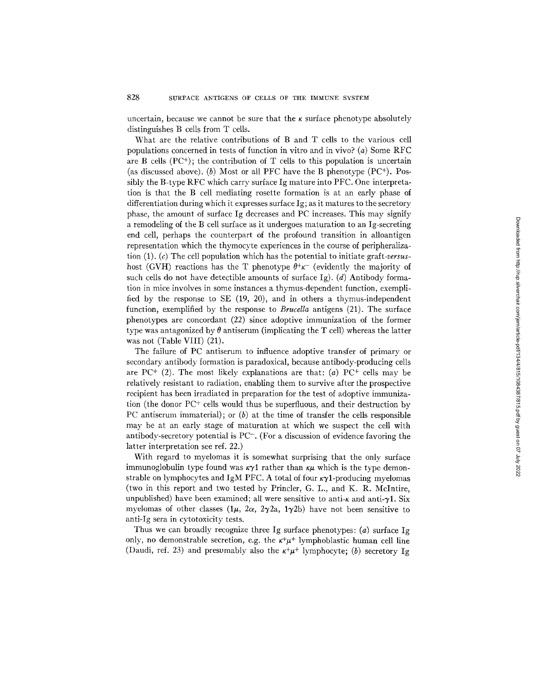uncertain, because we cannot be sure that the  $\kappa$  surface phenotype absolutely distinguishes B cells from T cells.

What are the relative contributions of B and T cells to the various cell populations concerned in tests of function in vitro and in vivo? (a) Some RFC are B cells  $(PC^+)$ ; the contribution of T cells to this population is uncertain (as discussed above). (b) Most or all PFC have the B phenotype  $(PC<sup>+</sup>)$ . Possibly the B-type RFC which carry surface Ig mature into PFC. One interpretation is that the B cell mediating rosette formation is at an early phase of differentiation during which it expresses surface Ig; as it matures to the secretory phase, the amount of surface Ig decreases and PC increases. This may signify a remodeling of the B cell surface as it undergoes maturation to an Ig-secreting end cell, perhaps the counterpart of the profound transition in alloantigen representation which the thymocyte experiences in the course of peripheralization (1). (c) The cell population which has the potential to initiate *graft-versus*host (GVH) reactions has the T phenotype  $\theta^+ \kappa^-$  (evidently the majority of such cells do not have detectible amounts of surface Ig). (d) Antibody formation in mice involves in some instances a thymus-dependent function, exemplified by the response to SE (19, 20), and in others a thymus-independent function, exemplified by the response to *Brucella* antigens (21). The surface phenotypes are concordant (22) since adoptive immunization of the former type was antagonized by  $\theta$  antiserum (implicating the T cell) whereas the latter was not (Table VIII) (21).

The failure of PC antiserum to influence adoptive transfer of primary or secondary antibody formation is paradoxical, because antibody-producing cells are PC<sup>+</sup> (2). The most likely explanations are that: (a) PC<sup>+</sup> cells may be relatively resistant to radiation, enabling them to survive after the prospective recipient has been irradiated in preparation for the test of adoptive immunization (the donor  $PC^+$  cells would thus be superfluous, and their destruction by PC antiserum immaterial); or  $(b)$  at the time of transfer the cells responsible may be at an early stage of maturation at which we suspect the cell with antibody-secretory potential is PC-. (For a discussion of evidence favoring the latter interpretation see ref. 22.)

With regard to myelomas it is somewhat surprising that the only surface immunoglobulin type found was  $\kappa \gamma$ 1 rather than  $\kappa \mu$  which is the type demonstrable on lymphocytes and IgM PFC. A total of four  $\kappa \gamma$ 1-producing myelomas (two in this report and two tested by Princler, G. L., and K. R. McIntire, unpublished) have been examined; all were sensitive to anti- $\kappa$  and anti- $\gamma$ 1. Six myelomas of other classes  $(1\mu, 2\alpha, 2\gamma2a, 1\gamma2b)$  have not been sensitive to anti-Ig sera in cytotoxicity tests.

Thus we can broadly recognize three Ig surface phenotypes: (a) surface Ig only, no demonstrable secretion, e.g. the  $\kappa^+\mu^+$  lymphoblastic human cell line (Daudi, ref. 23) and presumably also the  $\kappa^+\mu^+$  lymphocyte; (b) secretory Ig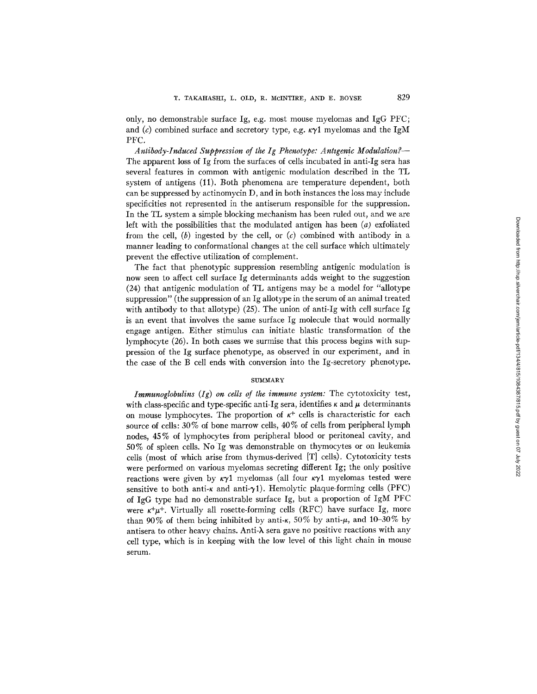only, no demonstrable surface Ig, e.g. most mouse myelomas and IgG PFC; and (c) combined surface and secretory type, e.g.  $\kappa \gamma$ 1 myelomas and the IgM PFC.

*Antibody-Induced Suppression of the Ig Phenotype: Anhgenic Modulation?-*  The apparent loss of Ig from the surfaces of cells incubated in anti-Ig sera has several features in common with antigenic modulation described in the TL system of antigens (11). Both phenomena are temperature dependent, both can be suppressed by actinomycin D, and in both instances the loss may include specificities not represented in the antiserum responsible for the suppression. In the TL system a simple blocking mechanism has been ruled out, and we are left with the possibilities that the modulated antigen has been *(a)* exfoliated from the cell, (b) ingested by the cell, or  $(c)$  combined with antibody in a manner leading to conformational changes at the cell surface which ultimately prevent the effective utilization of complement.

The fact that phenotypic suppression resembling antigenic modulation is now seen to affect cell surface Ig determinants adds weight to the suggestion (24) that antigenic modulation of TL antigens may be a model for "allotype suppression" (the suppression of an Ig allotype in the serum of an animal treated with antibody to that allotype) (25). The union of anti-Ig with cell surface Ig is an event that involves the same surface Ig molecule that would normally engage antigen. Either stimulus can initiate blastic transformation of the lymphocyte (26). In both cases we surmise that this process begins with suppression of the Ig surface phenotype, as observed in our experiment, and in the case of the B cell ends with conversion into the Ig-secretory phenotype.

## **SUMMARY**

*Immunoglobulins* (Ig) on cells of the immune system: The cytotoxicity test, with class-specific and type-specific anti-Ig sera, identifies  $\kappa$  and  $\mu$  determinants on mouse lymphocytes. The proportion of  $\kappa^+$  cells is characteristic for each source of cells:  $30\%$  of bone marrow cells,  $40\%$  of cells from peripheral lymph nodes, 45 % of lymphocytes from peripheral blood or peritoneal cavity, and 50% of spleen cells. No Ig was demonstrable on thymocytes or on leukemia cells (most of which arise from thymus-derived [T] cells). Cytotoxicity tests were performed on various myelomas secreting different Ig; the only positive reactions were given by  $\kappa \gamma 1$  myelomas (all four  $\kappa \gamma 1$  myelomas tested were sensitive to both anti- $\kappa$  and anti- $\gamma$ 1). Hemolytic plaque-forming cells (PFC) of IgG type had no demonstrable surface Ig, but a proportion of IgM PFC were  $\kappa^+\mu^+$ . Virtually all rosette-forming cells (RFC) have surface Ig, more than 90% of them being inhibited by anti- $\kappa$ , 50% by anti- $\mu$ , and 10-30% by antisera to other heavy chains. Anti- $\lambda$  sera gave no positive reactions with any cell type, which is in keeping with the low level of this light chain in mouse serum.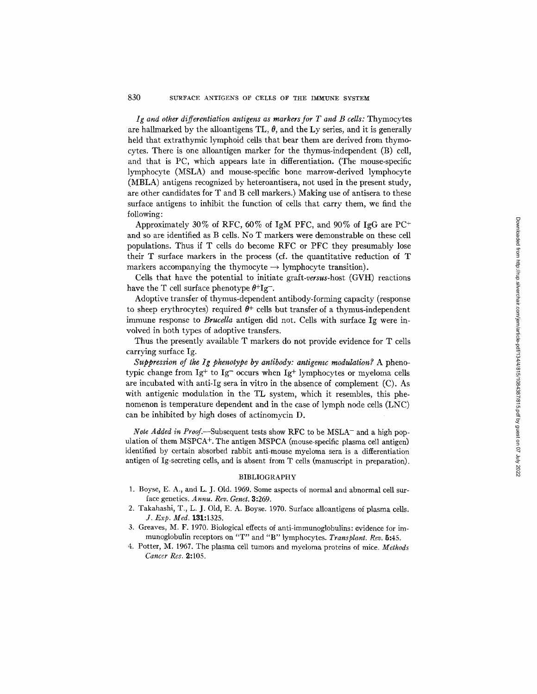*Ig and other differentiation antigens as markers for T and B cells:* Thymocytes are hallmarked by the alloantigens TL,  $\theta$ , and the Ly series, and it is generally held that extrathymic lymphoid cells that bear them are derived from thymocytes. There is one alloantigen marker for the thymus-independent (B) cell, and that is PC, which appears late in differentiation. (The mouse-specific lymphocyte (MSLA) and mouse-specific bone marrow-derived lymphocyte (MBLA) antigens recognized by heteroantisera, not used in the present study, are other candidates for T and B cell markers.) Making use of antisera to these surface antigens to inhibit the function of cells that carry them, we find the following:

Approximately 30% of RFC, 60% of IgM PFC, and 90% of IgG are  $PC^+$ and so are identified as B cells. No T markers were demonstrable on these cell populations. Thus if T cells do become RFC or PFC they presumably lose their T surface markers in the process (cf. the quantitative reduction of T markers accompanying the thymocyte  $\rightarrow$  lymphocyte transition).

Cells that have the potential to initiate *graft-versus-host* (GVH) reactions have the T cell surface phenotype  $\theta^+$ Ig<sup>-</sup>.

Adoptive transfer of thymus-dependent antibody-forming capacity (response to sheep erythrocytes) required  $\theta^+$  cells but transfer of a thymus-independent immune response to *Brucella* antigen did not. Cells with surface Ig were involved in both types of adoptive transfers.

Thus the presently available T markers do not provide evidence for T cells carrying surface Ig.

*Suppression of the Ig phenotype by antibody: antigenic modulation?* A phenotypic change from  $Ig^+$  to  $Ig^-$  occurs when  $Ig^+$  lymphocytes or myeloma cells are incubated with anti-Ig sera in vitro in the absence of complement (C). As with antigenic modulation in the TL system, which it resembles, this phenomenon is temperature dependent and in the case of lymph node cells (LNC) can be inhibited by high doses of actinomycin D.

*Note Added in Proof.*--Subsequent tests show RFC to be MSLA<sup>-</sup> and a high population of them  $MSPCA^+$ . The antigen MSPCA (mouse-specific plasma cell antigen) identified by certain absorbed rabbit anti-mouse myeloma sera is a differentiation antigen of Ig-secreting cells, and is absent from T cells (manuscript in preparation).

### BIBLIOGRAPHY

- 1. Boyse, E. A., and L. J. Old. 1969. Some aspects of normal and abnormal cell surface genetics. *A nnu. Rev. Genet.* 3:269.
- 2. Takahashi, T., L. J. Old, E. A. Boyse. 1970. Surface alloantigens of plasma cells. *J. Exp. Med.* 131:1325.
- 3. Greaves, M. F. 1970. Biological effects of anti-immunoglobulins: evidence for immunoglobulin receptors on *"T"* and *"B"* lymphocytes. *Transplant. Rev.* 5:45.
- 4. Potter, M. 1967. The plasma cell tumors and myeloma proteins of mice. *Methods Cancer Res.* 2:105.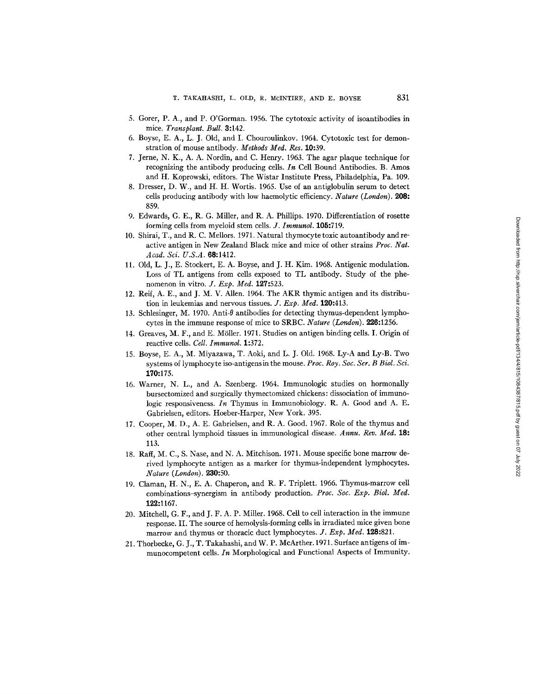- 5. Gorer, P. A., and P. O'Gorman. 1956. The cytotoxic activity of isoantibodies in mice. *Transplant. Bull.* 3:142.
- 6. Boyse, E. A., L. J. Old, and I. Chouroulinkov. 1964. Cytotoxic test for demonstration of mouse antibody. *Methods Med. Res.* 10:39.
- 7. Jerne, N. K., A. A. Nordin, and C. Henry. 1963. The agar plaque technique for recognizing the antibody producing cells. *In* Cell Bound Antibodies. B. Amos and H. Koprowski, editors. The Wistar Institute Press, Philadelphia, Pa. 109.
- 8. Dresser, D. W., and H. H. Wortis. 1965. Use of an antiglobulin serum to detect cells producing antibody with low haemolytic efficiency. *Nature (London).* 208: 859.
- 9. Edwards, G. E., R. G. Miller, and R. A. Phillips. 1970. Differentiation of rosette forming cells from myeloid stem cells. *Y. Immunol.* 105:719.
- 10. Shirai, T., and R. C. Mellors. 1971. Natural thymocyte toxic autoantibody and reactive antigen in New Zealand Black mice and mice of other strains *Proc. Nat. Acad. Sci. U.S.A.* 68:1412.
- 11. Old, L. J., E. Stockert, E. A. Boyse, and J. H. Kim. 1968. Antigenic modulation. Loss of TL antigens from cells exposed to TL antibody. Study of the phenomenon in vitro. *J. Exp. Med.* 127:523.
- 12. Reif, A. E., and J. M. V. Allen. 1964. The AKR thymic antigen and its distribution in leukemias and nervous tissues. *J. Exp. Med.* 120:413.
- 13. Schlesinger, M. 1970. Anti-0 antibodies for detecting thymus-dependent lymphocytes in the immune response of mice to SRBC. *Nature (London).* 226:1256.
- 14. Greaves, M. F., and E. Möller. 1971. Studies on antigen binding cells. I. Origin of reactive cells. *Cell. Immunol.* 1:372.
- 15. Boyse, E. A., M. Miyazawa, T. Aoki, and L. J. Old. 1968. Ly-A and Ly-B. Two systems of lymphocyte iso-antigens in the mouse. *Proc. Roy. Soc. Ser. B Biol. Sci.*  170:175.
- 16. Warner, N. L., and A. Szenberg. 1964. Immunologic studies on hormonally bursectomized and surgically thymectomized chickens: dissociation of immunologic responsiveness. *In* Thymus in Immunobiology. R. A. Good and A. E. Gabrielsen, editors. Hoeber-Harper, New York. 395.
- 17. Cooper, M. D., A. E. Gabrielsen, and R. A. Good. 1967. Role of the thymus and other central lymphoid tissues in immunological disease. *Annu. Rev. Med.* 18: 113.
- 18. Raft, M. C., S. Nase, and N. A. Mitchison. 1971. Mouse specific bone marrow derived lymphocyte antigen as a marker for thymus-independent lymphocytes. *Nature (London).* 230:50.
- 19. Claman, H. N., E. A. Chaperon, and R. F. Triplett. 1966. Thymus-marrow cell combinations~ynergism in antibody production. *Proc. Soc. Exp. Biol. Med.*  122:1167.
- 20. Mitchell, G. F., and J. F. A. P. Miller. 1968. Cell to cell interaction in the immune response. II. The source of hemolysis-forming cells in irradiated mice given bone marrow and thymus or thoracic duct lymphocytes. *J. Exp. Med.* 128:821.
- 21. Thorbecke, G. J., T. Takahashi, and W. P. McArther. 1971. Surface antigens of immunocompetent cells. *In* Morphological and Functional Aspects of Immunity.